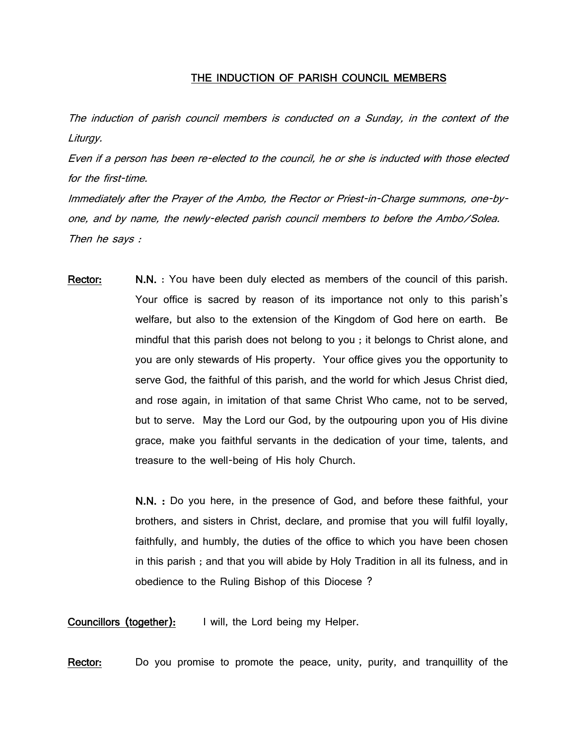## THE INDUCTION OF PARISH COUNCIL MEMBERS

The induction of parish council members is conducted on a Sunday, in the context of the Liturgy.

Even if a person has been re-elected to the council, he or she is inducted with those elected for the first-time.

Immediately after the Prayer of the Ambo, the Rector or Priest-in-Charge summons, one-byone, and by name, the newly-elected parish council members to before the Ambo/Solea. Then he says :

Rector: N.N. : You have been duly elected as members of the council of this parish. Your office is sacred by reason of its importance not only to this parish's welfare, but also to the extension of the Kingdom of God here on earth. Be mindful that this parish does not belong to you ; it belongs to Christ alone, and you are only stewards of His property. Your office gives you the opportunity to serve God, the faithful of this parish, and the world for which Jesus Christ died, and rose again, in imitation of that same Christ Who came, not to be served, but to serve. May the Lord our God, by the outpouring upon you of His divine grace, make you faithful servants in the dedication of your time, talents, and treasure to the well-being of His holy Church.

> N.N. : Do you here, in the presence of God, and before these faithful, your brothers, and sisters in Christ, declare, and promise that you will fulfil loyally, faithfully, and humbly, the duties of the office to which you have been chosen in this parish ; and that you will abide by Holy Tradition in all its fulness, and in obedience to the Ruling Bishop of this Diocese ?

Councillors (together): I will, the Lord being my Helper.

Rector: Do you promise to promote the peace, unity, purity, and tranquillity of the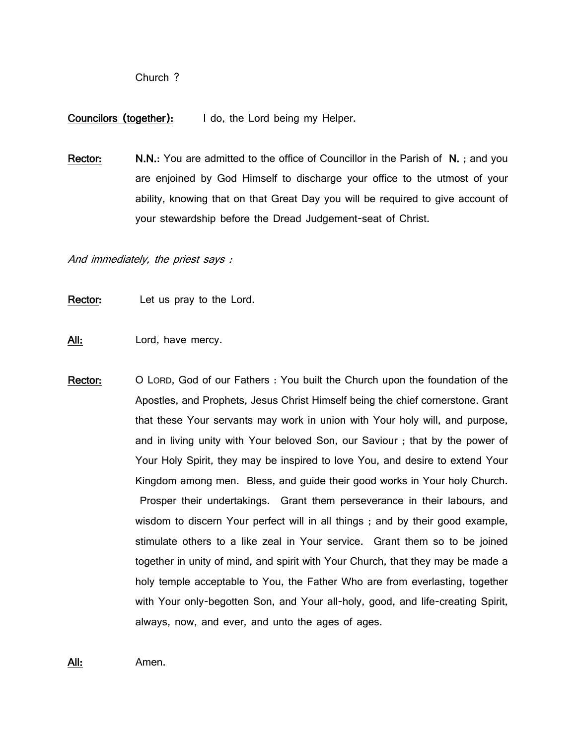Church ?

## Councilors (together): I do, the Lord being my Helper.

Rector: N.N.: You are admitted to the office of Councillor in the Parish of N.; and you are enjoined by God Himself to discharge your office to the utmost of your ability, knowing that on that Great Day you will be required to give account of your stewardship before the Dread Judgement-seat of Christ.

And immediately, the priest says :

Rector: Let us pray to the Lord.

All: Lord, have mercy.

Rector: O LORD, God of our Fathers : You built the Church upon the foundation of the Apostles, and Prophets, Jesus Christ Himself being the chief cornerstone. Grant that these Your servants may work in union with Your holy will, and purpose, and in living unity with Your beloved Son, our Saviour ; that by the power of Your Holy Spirit, they may be inspired to love You, and desire to extend Your Kingdom among men. Bless, and guide their good works in Your holy Church. Prosper their undertakings. Grant them perseverance in their labours, and wisdom to discern Your perfect will in all things ; and by their good example, stimulate others to a like zeal in Your service. Grant them so to be joined together in unity of mind, and spirit with Your Church, that they may be made a holy temple acceptable to You, the Father Who are from everlasting, together with Your only-begotten Son, and Your all-holy, good, and life-creating Spirit, always, now, and ever, and unto the ages of ages.

All: Amen.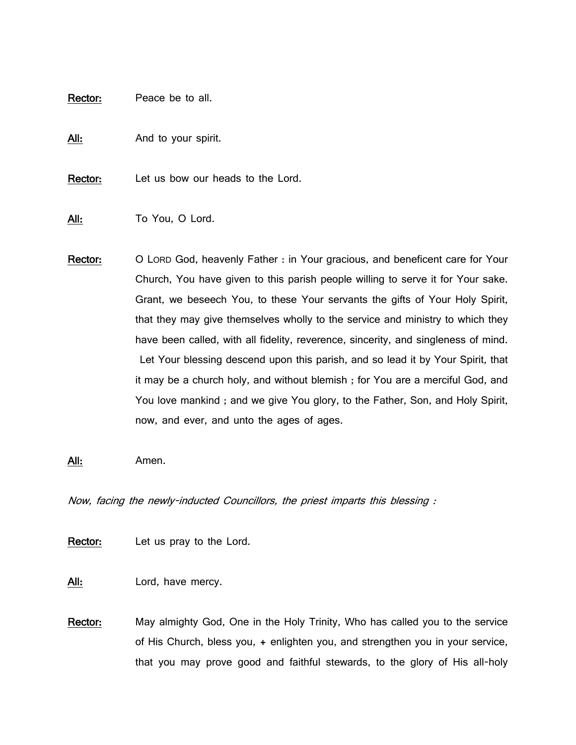Rector: Peace be to all.

All: And to your spirit.

Rector: Let us bow our heads to the Lord.

All: To You, O Lord.

Rector: O LORD God, heavenly Father : in Your gracious, and beneficent care for Your Church, You have given to this parish people willing to serve it for Your sake. Grant, we beseech You, to these Your servants the gifts of Your Holy Spirit, that they may give themselves wholly to the service and ministry to which they have been called, with all fidelity, reverence, sincerity, and singleness of mind. Let Your blessing descend upon this parish, and so lead it by Your Spirit, that it may be a church holy, and without blemish ; for You are a merciful God, and You love mankind ; and we give You glory, to the Father, Son, and Holy Spirit, now, and ever, and unto the ages of ages.

All: Amen.

Now, facing the newly-inducted Councillors, the priest imparts this blessing :

Rector: Let us pray to the Lord.

All: Lord, have mercy.

Rector: May almighty God, One in the Holy Trinity, Who has called you to the service of His Church, bless you, + enlighten you, and strengthen you in your service, that you may prove good and faithful stewards, to the glory of His all-holy